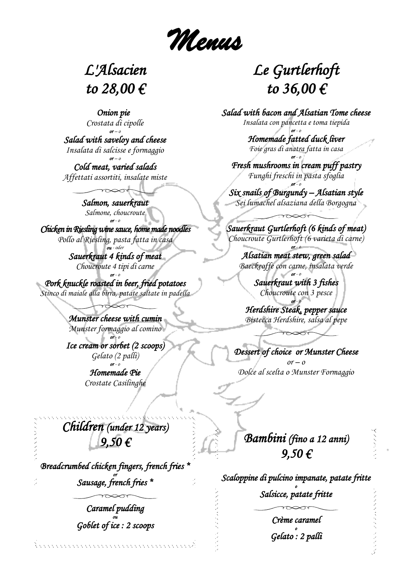*Menus*

## *L'Alsacien to 28,00 €*

 *Onion pie Crostata di cipolle or – o*

*Salad with saveloy and cheese Insalata di salcisse e formaggio* 

*or – o Cold meat, varied salads Affettati assortiti, insalate miste*

> *Salmon, sauerkraut Salmone, choucroute or - o*

*Chicken in Riesling wine sauce, home made noodles Pollo al Riesling, pasta fatta in casa ou - oder*

> *Sauerkraut 4 kinds of meat Choucroute 4 tipi di carne*

*or - o Pork knuckle roasted in beer, fried potatoes Stinco di maiale alla birra, patate saltate in padella*

> *Munster cheese with cumin Munster formaggio al comino or - o*

*Ice cream or sorbet (2 scoops) Gelato (2 palli) or - o*

*Homemade Pie Crostate Casilinghe*

*Children (under 12 years) 9,50 €* 

*Breadcrumbed chicken fingers, french fries \* or Sausage, french fries \** 

> *Caramel pudding ou Goblet of ice : 2 scoops*

## *Le Gurtlerhoft to 36,00 €*

*Salad with bacon and Alsatian Tome cheese Insalata con pancetta e toma tiepida or - o*

*Homemade fatted duck liver Foie gras di anatra fatta in casa or - o*

*Fresh mushrooms in cream puff pastry Funghi freschi in pasta sfoglia or - o*

*Six snails of Burgundy – Alsatian style Sei lumachel alsaziana della Borgogna*

*Sauerkraut Gurtlerhoft (6 kinds of meat) Choucroute Gurtlerhoft (6 varieta di carne)*

*or - o Alsatian meat stew, green salad Baeckeoffe con carne, insalata verde*

> *or - o Sauerkraut with 3 fishes Choucroute con 3 pesce*

*or - o Herdshire Steak, pepper sauce Bistecca Herdshire, salsa al pepe*

*Dessert of choice or Munster Cheese*   $or - o$ *Dolce al scelta o Munster Formaggio*

*Bambini (fino a 12 anni) 9,50 €* 

*Scaloppine di pulcino impanate, patate fritte o Salsicce, patate fritte* 

> *Crème caramel o Gelato : 2 palli*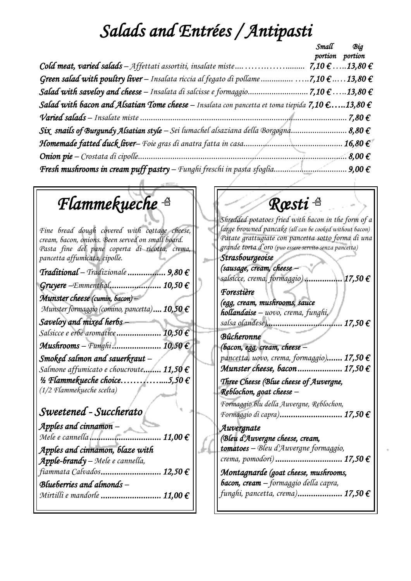## *Salads and Entrées / Antipasti*

|                                                                                                                    | Small | Big<br>portion portion |
|--------------------------------------------------------------------------------------------------------------------|-------|------------------------|
|                                                                                                                    |       |                        |
| Green salad with poultry liver – Insalata riccia al fegato di pollame 7,10 $\epsilon$ 13,80 $\epsilon$             |       |                        |
|                                                                                                                    |       |                        |
| Salad with bacon and Alsatian Tome cheese – Insalata con pancetta et toma tiepida 7,10 $\epsilon$ 13,80 $\epsilon$ |       |                        |
|                                                                                                                    |       | 7.80 $\epsilon$        |
| Six snails of Burgundy Alsatian style – Sei lumachel alsaziana della Borgogna 8,80 $\epsilon$                      |       |                        |
|                                                                                                                    |       | 16,80€                 |
|                                                                                                                    |       | $.8,00 \in$            |
|                                                                                                                    |       |                        |

## *Flammekueche*

*Fine bread dough covered with cottage cheese, cream, bacon, onions. Been served on small board. Pasta fine del pane coperta di ricotta, crema, pancetta affumicata, cipolle.*

| Traditional - Tradizionale.<br>$9,80 \in$             |
|-------------------------------------------------------|
| $.10,50 \in$<br>Gruyere -Emmenthal                    |
| Munster cheese (cumin, bacon) -                       |
| Munster formaggio (comino, pancetta) 10,50 $\epsilon$ |
| Saveloy and mixed herbs                               |
| 10,50€<br>Salsicce e erbe aromatice                   |
| <b>Mushrooms</b> – Funghi  10,50 $\epsilon$           |
| Smoked salmon and sauerkraut -                        |
| Salmone affumicato e choucroute $11,50 \text{ } \in$  |
| $\frac{1}{2}$ Flammekueche choice5,50 €               |
| (1/2 Flammekueche scelta)                             |

### *Sweetened - Succherato Apples and cinnamon – Mele e cannella ................................ 11,00 € Apples and cinnamon, blaze with Apple-brandy – Mele e cannella, fiammata Calvados ........................... 12,50 € Blueberries and almonds – Mirtilli e mandorle ........................... 11,00 €*

## *Rœsti*

*Shredded potatoes fried with bacon in the form of a large browned pancake (all can be cooked without bacon) Patate grattugiate con pancetta sotto forma di una grande torta d'oro (puo essere servito senza pancetta)*

| Strasbourgeoise                                    |                    |
|----------------------------------------------------|--------------------|
| (sausage, cream, cheese                            |                    |
| salsicce, crema, formaggio)                        | $17,50 \in$        |
| <b>Torestière</b>                                  |                    |
| (egg, cream, mushrooms, sauce                      |                    |
| hollandaise - uovo, crema, funghi,                 |                    |
| salsa olandese)                                    | . 17,50 $\epsilon$ |
| Bûcheronne                                         |                    |
| (bacon, egg, cream, cheese $-$                     |                    |
| pancetta, uovo, crema, formaggio) 17,50 $\epsilon$ |                    |
|                                                    |                    |

*Munster cheese, bacon .................... 17,50 € Three Cheese (Blue cheese of Auvergne, Reblochon, goat cheese – Formaggio blu della Auvergne, Reblochon, Formaggio di capra) ............................ 17,50 € Auvergnate (Bleu d'Auvergne cheese, cream, tomatoes – Bleu d'Auvergne formaggio,*

*crema, pomodori) .............................. 17,50 € Montagnarde (goat cheese, mushrooms, bacon, cream – formaggio della capra,*

*funghi, pancetta, crema) .................... 17,50 €*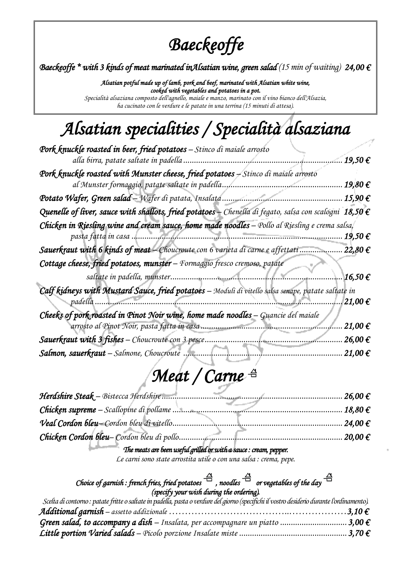## *Baeckeoffe*

*Baeckeoffe \* with 3 kinds of meat marinated inAlsatian wine, green salad (15 min of waiting) 24,00 €*

*Alsatian potful made up of lamb, pork and beef, marinated with Alsatian white wine, cooked with vegetables and potatoes in a pot. Specialità alsaziana composto dell'agnello, maiale e manzo, marinato con il vino bianco dell'Alsazia, ha cucinato con le verdure e le patate in una terrina (15 minuti di attesa).*

# *Alsatian specialities / Specialità alsaziana*

| Pork knuckle roasted in beer, fried potatoes - Stinco di maiale arrosto                                          |
|------------------------------------------------------------------------------------------------------------------|
| 19,50€<br>alla birra, patate saltate in padella.                                                                 |
| Pork knuckle roasted with Munster cheese, fried potatoes - Stinco di maiale arrosto                              |
| al Munster formaggio, patate saltate in padella.<br>19,80 €                                                      |
| Potato Wafer, Green salad - Wafer di patata, Insalata.<br>15,90 €                                                |
| Quenelle of liver, sauce with shallots, fried potatoes – Chenella di fegato, salsa con scalogni 18,50 $\epsilon$ |
| Chicken in Riesling wine and cream sauce, home made noodles - Pollo al Riesling e crema salsa,                   |
| 19,50 €<br>.                                                                                                     |
| Sauerkraut with 6 kinds of meat - Choucroute con 6 varieta di carne e affettati<br>22,80 €                       |
| Cottage cheese, fried potatoes, munster - Formaggio fresco cremoso, patate                                       |
| 16,50€<br>saltate in padella, munster                                                                            |
| Calf kidneys with Mustard Sauce, fried potatoes - Moduli di vitello salsa senape, patate saltate in              |
| 21,00€<br>padella                                                                                                |
| Cheeks of pork roasted in Pinot Noir wine, home made noodles $-$ Guancie del maiale                              |
| 21,00€<br>arrosto al Pinot Noir, pasta fatta in casa                                                             |
| 26,00€<br><b>Sauerkraut with 3 fishes</b> - Choucroute con 3 pesce.                                              |
| Salmon, sauerkraut - Salmone, Choucroute<br>21,00 €                                                              |

# *Meat / Carne*

| $$ 26.00 $\in$ |
|----------------|
|                |
|                |
| .20.00 f       |
|                |

#### *The meats are been useful grilled or with a sauce : cream, pepper.*

*Le carni sono state arrostita utile o con una salsa : crema, pepe.* 

#### *Choice of garnish : french fries, fried potatoes*  $\stackrel{\triangle}{\rightarrow}$  *noodles*  $\stackrel{\triangle}{\rightarrow}$  *or vegetables of the day*  $\stackrel{\triangle}{\rightarrow}$ *(specify your wish during the ordering).*

| Scelta di contorno: patate fritte o saltate in padella, pasta o verdure del giorno (specifichi il vostro desiderio durante l'ordinamento). |  |
|--------------------------------------------------------------------------------------------------------------------------------------------|--|
|                                                                                                                                            |  |
| Green salad, to accompany a dish – Insalata, per accompagnare un piatto  3,00 $\epsilon$                                                   |  |
|                                                                                                                                            |  |